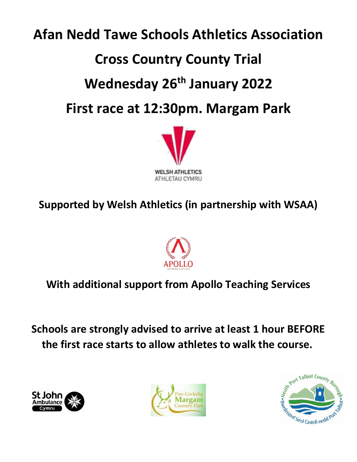# **Afan Nedd Tawe Schools Athletics Association Cross Country County Trial Wednesday 26th January 2022 First race at 12:30pm. Margam Park**



## **Supported by Welsh Athletics (in partnership with WSAA)**



### **With additional support from Apollo Teaching Services**

**Schools are strongly advised to arrive at least 1 hour BEFORE the first race starts to allow athletes to walk the course.**





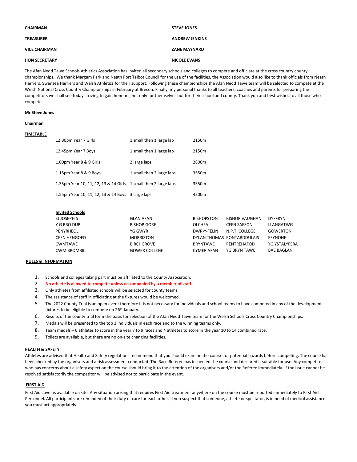| CHAIRMAN             | <b>STEVE JONES</b>    |
|----------------------|-----------------------|
| <b>TREASURER</b>     | <b>ANDREW JENKINS</b> |
| <b>VICE CHAIRMAN</b> | <b>ZANE MAYNARD</b>   |
| <b>HON SECRETARY</b> | <b>NICOLE EVANS</b>   |

The Afan Nedd Tawe Schools Athletics Association has invited all secondary schools and colleges to compete and officiate at the cross country county championships. We thank Margam Park and Neath Port Talbot Council for the use of the facilities, the Association would also like to thank officials from Neath Harriers, Swansea Harriers and Welsh Athletics for their support. Following these championships the Afan Nedd Tawe team will be selected to compete at the Welsh National Cross Country Championships in February at Brecon. Finally, my personal thanks to all teachers, coaches and parents for preparing the competitors we shall see today striving to gain honours, not only for themselves but for their school and county. Thank you and best wishes to all those who compete.

#### **Mr Steve Jones**

#### **Chairman**

#### **TIMETABLE**

| 12:30pm Year 7 Girls                                            | 1 small then 1 large lap  | 2150m             |
|-----------------------------------------------------------------|---------------------------|-------------------|
| 12.45pm Year 7 Boys                                             | 1 small then 1 large lap  | 2150 <sub>m</sub> |
| 1.00pm Year 8 & 9 Girls                                         | 2 large laps              | 2800m             |
| 1.15pm Year 8 & 9 Boys                                          | 1 small then 2 large laps | 3550m             |
| 1.35pm Year 10, 11, 12, 13 & 14 Girls 1 small then 2 large laps |                           | 3550m             |
| 1.55pm Year 10, 11, 12, 13 & 14 Boys 3 large laps               |                           | 4200m             |

| <b>Invited Schools</b> |                      |                   |                            |                   |
|------------------------|----------------------|-------------------|----------------------------|-------------------|
| St JOSEPH'S            | <b>GLAN AFAN</b>     | <b>BISHOPSTON</b> | <b>BISHOP VAUGHAN</b>      | <b>DYFFRYN</b>    |
| Y G BRO DUR            | <b>BISHOP GORE</b>   | <b>OLCHFA</b>     | <b>CEFN SAESON</b>         | LLANGATWG         |
| PENYRHEOL              | YG GWYR              | DWR-Y-FELIN       | N.P.T. COLLEGE             | <b>GOWERTON</b>   |
| <b>CEFN HENGOED</b>    | <b>MORRISTON</b>     |                   | DYLAN THOMAS PONTARDDULAIS | <b>FFYNONE</b>    |
| CWMTAWE                | <b>BIRCHGROVE</b>    | <b>BRYNTAWE</b>   | PENTREHAFOD                | YG YSTALYFERA     |
| <b>CWM BROMBIL</b>     | <b>GOWER COLLEGE</b> | <b>CYMER AFAN</b> | YG BRYN TAWE               | <b>BAE BAGLAN</b> |

#### **RULES & INFORMATION**

- 1. Schools and colleges taking part must be affiliated to the County Association.
- 2. **No athlete is allowed to compete unless accompanied by a member of staff.**
- 3. Only athletes from affiliated schools will be selected for county teams.
- 4. The assistance of staff in officiating at the fixtures would be welcomed.
- 5. The 2022 County Trial is an open event therefore it is not necessary for individuals and school teams to have competed in any of the development fixtures to be eligible to compete on 26<sup>th</sup> January.
- 6. Results of the county trial form the basis for selection of the Afan Nedd Tawe team for the Welsh Schools Cross Country Championships.
- 7. Medals will be presented to the top 3 individuals in each race and to the winning teams only.
- 8. Team medals 6 athletes to score in the year 7 to 9 races and 4 athletes to score in the year 10 to 14 combined race.
- 9. Toilets are available, but there are no on-site changing facilities.

#### **HEALTH & SAFETY**

Athletes are advised that Health and Safety regulations recommend that you should examine the course for potential hazards before competing. The course has been checked by the organisers and a risk assessment conducted. The Race Referee has inspected the course and declared it suitable for use. Any competitor who has concerns about a safety aspect on the course should bring it to the attention of the organisers and/or the Referee immediately. If the issue cannot be resolved satisfactorily the competitor will be advised not to participate in the event.

#### **FIRST AID**

First Aid cover is available on site. Any situation arising that requires First Aid treatment anywhere on the course must be reported immediately to First Aid Personnel. All participants are reminded of their duty of care for each other. If you suspect that someone, athlete or spectator, is in need of medical assistance you must act appropriately.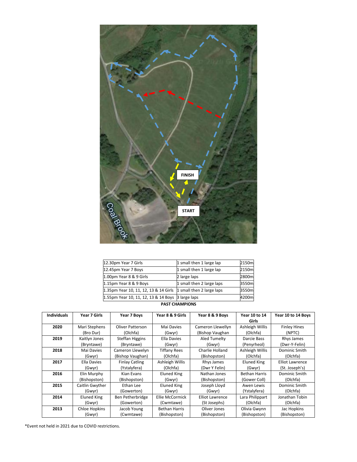

| 1.55pm Year 10, 11, 12, 13 & 14 Boys 3 large laps               |                           | 4200ml |  |  |
|-----------------------------------------------------------------|---------------------------|--------|--|--|
| 1.35pm Year 10, 11, 12, 13 & 14 Girls 1 small then 2 large laps |                           | 3550ml |  |  |
| 1.15pm Year 8 & 9 Boys                                          | 1 small then 2 large laps | 3550m  |  |  |
| 1.00pm Year 8 & 9 Girls                                         | 2 large laps              | 2800ml |  |  |
| 12.45pm Year 7 Boys                                             | 1 small then 1 large lap  | 2150m  |  |  |
| 12.30pm Year 7 Girls                                            | 1 small then 1 large lap  | 2150m  |  |  |

#### **PAST CHAMPIONS**

| <b>Individuals</b> | Year 7 Girls    | Year 7 Boys             | Year 8 & 9 Girls     | Year 8 & 9 Boys        | Year 10 to 14        | Year 10 to 14 Boys     |
|--------------------|-----------------|-------------------------|----------------------|------------------------|----------------------|------------------------|
|                    |                 |                         |                      |                        | Girls                |                        |
| 2020               | Mari Stephens   | <b>Oliver Patterson</b> | Mai Davies           | Cameron Llewellyn      | Ashleigh Willis      | <b>Finley Hines</b>    |
|                    | (Bro Dur)       | (Olchfa)                | (Gwyr)               | (Bishop Vaughan        | (Olchfa)             | (NPTC)                 |
| 2019               | Kaitlyn Jones   | Steffan Higgins         | Ella Davies          | Aled Tumelty           | Darcie Bass          | Rhys James             |
|                    | (Bryntawe)      | (Bryntawe)              | (Gwyr)               | (Gwyr)                 | (Penyrheol)          | (Dwr-Y-Felin)          |
| 2018               | Mai Davies      | Cameron Llewelyn        | <b>Tiffany Rees</b>  | Charlie Holland        | Ashleigh Willis      | Dominic Smith          |
|                    | (Gwyr)          | (Bishop Vaughan)        | (Olchfa)             | (Bishopston)           | (Olchfa)             | (Olchfa)               |
| 2017               | Ella Davies     | <b>Finlay Catling</b>   | Ashleigh Willis      | Rhys James             | <b>Eluned King</b>   | <b>Elliot Lawrence</b> |
|                    | (Gwyr)          | (Ystalyfera)            | (Olchfa)             | (Dwr Y Felin)          | (Gwyr)               | (St. Joseph's)         |
| 2016               | Elin Murphy     | Kian Evans              | <b>Eluned King</b>   | Nathan Jones           | <b>Bethan Harris</b> | Dominic Smith          |
|                    | (Bishopston)    | (Bishopston)            | (Gwyr)               | (Bishopston)           | (Gower Coll)         | (Olchfa)               |
| 2015               | Caitlin Gwyther | Ethan Lee               | <b>Eluned King</b>   | Joseph Lloyd           | Awen Lewis           | Dominic Smith          |
|                    | (Gwyr)          | (Gowerton)              | (Gwyr)               | (Gwyr)                 | (Ystalyfera)         | (Olchfa)               |
| 2014               | Eluned King     | Ben Petherbridge        | Ellie McCormick      | <b>Elliot Lawrence</b> | Lara Philippart      | Jonathan Tobin         |
|                    | (Gwyr)          | (Gowerton)              | (Cwmtawe)            | (St Josephs)           | (Olchfa)             | (Olchfa)               |
| 2013               | Chloe Hopkins   | Jacob Young             | <b>Bethan Harris</b> | Oliver Jones           | Olivia Gwynn         | Jac Hopkins            |
|                    | (Gwyr)          | (Cwmtawe)               | (Bishopston)         | (Bishopston)           | (Bishopston)         | (Bishopston)           |

\*Event not held in 2021 due to COVID restrictions.